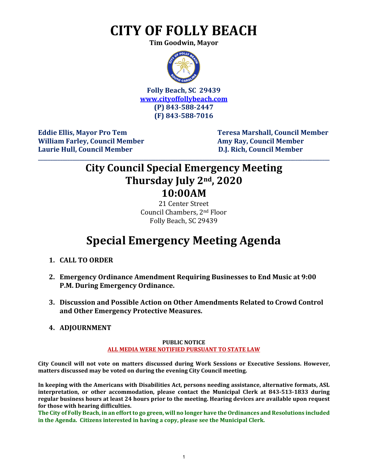# **CITY OF FOLLY BEACH**

**Tim Goodwin, Mayor**



**Folly Beach, SC 29439 [www.cityoffollybeach.com](http://www.cityoffollybeach.com/) (P) 843-588-2447 (F) 843-588-7016**

William Farley, Council Member **Amy Ray, Council Member Amy Ray, Council Member Laurie Hull, Council Member D.J. Rich, Council Member**

**Eddie Ellis, Mayor Pro Tem Teresa Marshall, Council Member**

### **City Council Special Emergency Meeting Thursday July 2nd, 2020 10:00AM**

**\_\_\_\_\_\_\_\_\_\_\_\_\_\_\_\_\_\_\_\_\_\_\_\_\_\_\_\_\_\_\_\_\_\_\_\_\_\_\_\_\_\_\_\_\_\_\_\_\_\_\_\_\_\_\_\_\_\_\_\_\_\_\_\_\_\_\_\_\_\_\_\_\_\_\_\_\_\_\_\_\_\_\_\_\_\_\_\_\_\_\_\_\_\_\_\_\_\_\_\_\_\_\_\_\_\_\_\_\_\_\_\_\_\_\_\_\_\_\_**

21 Center Street Council Chambers, 2nd Floor Folly Beach, SC 29439

## **Special Emergency Meeting Agenda**

- **1. CALL TO ORDER**
- **2. Emergency Ordinance Amendment Requiring Businesses to End Music at 9:00 P.M. During Emergency Ordinance.**
- **3. Discussion and Possible Action on Other Amendments Related to Crowd Control and Other Emergency Protective Measures.**

#### **4. ADJOURNMENT**

#### **PUBLIC NOTICE**

#### **ALL MEDIA WERE NOTIFIED PURSUANT TO STATE LAW**

**City Council will not vote on matters discussed during Work Sessions or Executive Sessions. However, matters discussed may be voted on during the evening City Council meeting.** 

**In keeping with the Americans with Disabilities Act, persons needing assistance, alternative formats, ASL interpretation, or other accommodation, please contact the Municipal Clerk at 843-513-1833 during regular business hours at least 24 hours prior to the meeting. Hearing devices are available upon request for those with hearing difficulties.**

**The City of Folly Beach, in an effort to go green, will no longer have the Ordinances and Resolutions included in the Agenda. Citizens interested in having a copy, please see the Municipal Clerk.**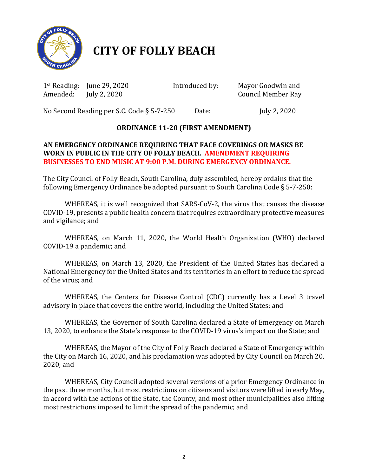

## **CITY OF FOLLY BEACH**

1st Reading: June 29, 2020 Introduced by:Mayor Goodwin and

**Council Member Ray** 

No Second Reading per S.C. Code § 5-7-250 Date: July 2, 2020

#### **ORDINANCE 11-20 (FIRST AMENDMENT)**

#### **AN EMERGENCY ORDINANCE REQUIRING THAT FACE COVERINGS OR MASKS BE WORN IN PUBLIC IN THE CITY OF FOLLY BEACH. AMENDMENT REQUIRING BUSINESSES TO END MUSIC AT 9:00 P.M. DURING EMERGENCY ORDINANCE.**

The City Council of Folly Beach, South Carolina, duly assembled, hereby ordains that the following Emergency Ordinance be adopted pursuant to South Carolina Code § 5-7-250:

WHEREAS, it is well recognized that SARS-CoV-2, the virus that causes the disease COVID-19, presents a public health concern that requires extraordinary protective measures and vigilance; and

WHEREAS, on March 11, 2020, the World Health Organization (WHO) declared COVID-19 a pandemic; and

WHEREAS, on March 13, 2020, the President of the United States has declared a National Emergency for the United States and its territories in an effort to reduce the spread of the virus; and

WHEREAS, the Centers for Disease Control (CDC) currently has a Level 3 travel advisory in place that covers the entire world, including the United States; and

WHEREAS, the Governor of South Carolina declared a State of Emergency on March 13, 2020, to enhance the State's response to the COVID-19 virus's impact on the State; and

WHEREAS, the Mayor of the City of Folly Beach declared a State of Emergency within the City on March 16, 2020, and his proclamation was adopted by City Council on March 20, 2020; and

WHEREAS, City Council adopted several versions of a prior Emergency Ordinance in the past three months, but most restrictions on citizens and visitors were lifted in early May, in accord with the actions of the State, the County, and most other municipalities also lifting most restrictions imposed to limit the spread of the pandemic; and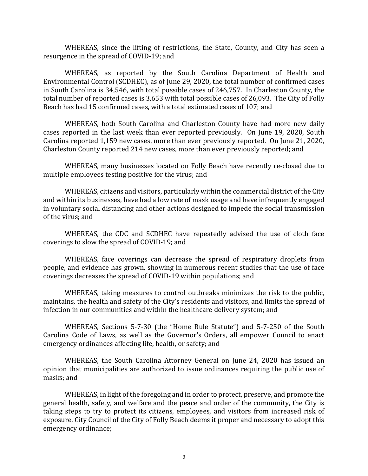WHEREAS, since the lifting of restrictions, the State, County, and City has seen a resurgence in the spread of COVID-19; and

WHEREAS, as reported by the South Carolina Department of Health and Environmental Control (SCDHEC), as of June 29, 2020, the total number of confirmed cases in South Carolina is 34,546, with total possible cases of 246,757. In Charleston County, the total number of reported cases is 3,653 with total possible cases of 26,093. The City of Folly Beach has had 15 confirmed cases, with a total estimated cases of 107; and

WHEREAS, both South Carolina and Charleston County have had more new daily cases reported in the last week than ever reported previously. On June 19, 2020, South Carolina reported 1,159 new cases, more than ever previously reported. On June 21, 2020, Charleston County reported 214 new cases, more than ever previously reported; and

WHEREAS, many businesses located on Folly Beach have recently re-closed due to multiple employees testing positive for the virus; and

WHEREAS, citizens and visitors, particularly within the commercial district of the City and within its businesses, have had a low rate of mask usage and have infrequently engaged in voluntary social distancing and other actions designed to impede the social transmission of the virus; and

WHEREAS, the CDC and SCDHEC have repeatedly advised the use of cloth face coverings to slow the spread of COVID-19; and

WHEREAS, face coverings can decrease the spread of respiratory droplets from people, and evidence has grown, showing in numerous recent studies that the use of face coverings decreases the spread of COVID-19 within populations; and

WHEREAS, taking measures to control outbreaks minimizes the risk to the public, maintains, the health and safety of the City's residents and visitors, and limits the spread of infection in our communities and within the healthcare delivery system; and

WHEREAS, Sections 5-7-30 (the "Home Rule Statute") and 5-7-250 of the South Carolina Code of Laws, as well as the Governor's Orders, all empower Council to enact emergency ordinances affecting life, health, or safety; and

WHEREAS, the South Carolina Attorney General on June 24, 2020 has issued an opinion that municipalities are authorized to issue ordinances requiring the public use of masks; and

WHEREAS, in light of the foregoing and in order to protect, preserve, and promote the general health, safety, and welfare and the peace and order of the community, the City is taking steps to try to protect its citizens, employees, and visitors from increased risk of exposure, City Council of the City of Folly Beach deems it proper and necessary to adopt this emergency ordinance;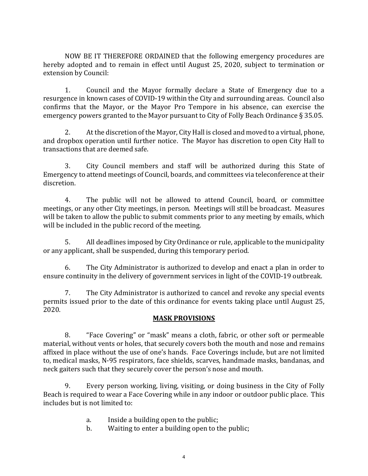NOW BE IT THEREFORE ORDAINED that the following emergency procedures are hereby adopted and to remain in effect until August 25, 2020, subject to termination or extension by Council:

1. Council and the Mayor formally declare a State of Emergency due to a resurgence in known cases of COVID-19 within the City and surrounding areas. Council also confirms that the Mayor, or the Mayor Pro Tempore in his absence, can exercise the emergency powers granted to the Mayor pursuant to City of Folly Beach Ordinance § 35.05.

 $2.$ At the discretion of the Mayor, City Hall is closed and moved to a virtual, phone, and dropbox operation until further notice. The Mayor has discretion to open City Hall to transactions that are deemed safe.

3. City Council members and staff will be authorized during this State of Emergency to attend meetings of Council, boards, and committees via teleconference at their discretion.

4. The public will not be allowed to attend Council, board, or committee meetings, or any other City meetings, in person. Meetings will still be broadcast. Measures will be taken to allow the public to submit comments prior to any meeting by emails, which will be included in the public record of the meeting.

5. All deadlines imposed by City Ordinance or rule, applicable to the municipality or any applicant, shall be suspended, during this temporary period.

 6. The City Administrator is authorized to develop and enact a plan in order to ensure continuity in the delivery of government services in light of the COVID-19 outbreak.

7. The City Administrator is authorized to cancel and revoke any special events permits issued prior to the date of this ordinance for events taking place until August 25, 2020.

#### **MASK PROVISIONS**

8. "Face Covering" or "mask" means a cloth, fabric, or other soft or permeable material, without vents or holes, that securely covers both the mouth and nose and remains affixed in place without the use of one's hands. Face Coverings include, but are not limited to, medical masks, N-95 respirators, face shields, scarves, handmade masks, bandanas, and neck gaiters such that they securely cover the person's nose and mouth.

9. Every person working, living, visiting, or doing business in the City of Folly Beach is required to wear a Face Covering while in any indoor or outdoor public place. This includes but is not limited to:

- a. Inside a building open to the public;<br>b. Waiting to enter a building open to the
- Waiting to enter a building open to the public;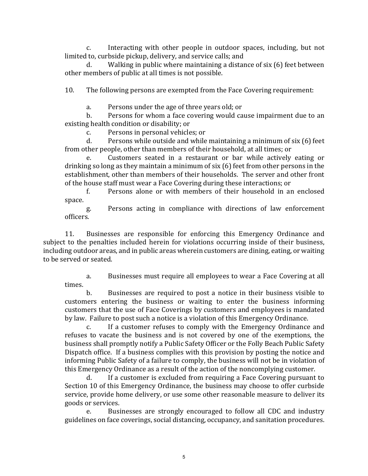c. Interacting with other people in outdoor spaces, including, but not limited to, curbside pickup, delivery, and service calls; and

d. Walking in public where maintaining a distance of six (6) feet between other members of public at all times is not possible.

10. The following persons are exempted from the Face Covering requirement:

a. Persons under the age of three years old; or<br>b. Persons for whom a face covering would cap

Persons for whom a face covering would cause impairment due to an existing health condition or disability; or<br>c. Persons in personal vehicle

c. Persons in personal vehicles; or<br>d. Persons while outside and while

Persons while outside and while maintaining a minimum of six (6) feet from other people, other than members of their household, at all times; or<br>e. Customers seated in a restaurant or bar while actively

Customers seated in a restaurant or bar while actively eating or drinking so long as they maintain a minimum of six (6) feet from other persons in the establishment, other than members of their households. The server and other front of the house staff must wear a Face Covering during these interactions; or<br>f. Persons alone or with members of their household in an

Persons alone or with members of their household in an enclosed space.

g. Persons acting in compliance with directions of law enforcement officers.

11. Businesses are responsible for enforcing this Emergency Ordinance and subject to the penalties included herein for violations occurring inside of their business, including outdoor areas, and in public areas wherein customers are dining, eating, or waiting to be served or seated.

a. Businesses must require all employees to wear a Face Covering at all times.

b. Businesses are required to post a notice in their business visible to customers entering the business or waiting to enter the business informing customers that the use of Face Coverings by customers and employees is mandated by law. Failure to post such a notice is a violation of this Emergency Ordinance.<br>C. Let a customer refuses to comply with the Emergency Ordinance

If a customer refuses to comply with the Emergency Ordinance and refuses to vacate the business and is not covered by one of the exemptions, the business shall promptly notify a Public Safety Officer or the Folly Beach Public Safety Dispatch office. If a business complies with this provision by posting the notice and informing Public Safety of a failure to comply, the business will not be in violation of this Emergency Ordinance as a result of the action of the noncomplying customer.

If a customer is excluded from requiring a Face Covering pursuant to Section 10 of this Emergency Ordinance, the business may choose to offer curbside service, provide home delivery, or use some other reasonable measure to deliver its goods or services.<br>e. Busi

Businesses are strongly encouraged to follow all CDC and industry guidelines on face coverings, social distancing, occupancy, and sanitation procedures.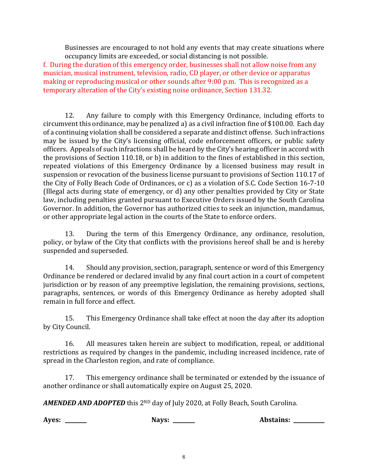Businesses are encouraged to not hold any events that may create situations where occupancy limits are exceeded, or social distancing is not possible.

f. During the duration of this emergency order, businesses shall not allow noise from any musician, musical instrument, television, radio, CD player, or other device or apparatus making or reproducing musical or other sounds after 9:00 p.m. This is recognized as a temporary alteration of the City's existing noise ordinance, Section 131.32.

12. Any failure to comply with this Emergency Ordinance, including efforts to circumvent this ordinance, may be penalized a) as a civil infraction fine of \$100.00. Each day of a continuing violation shall be considered a separate and distinct offense. Such infractions may be issued by the City's licensing official, code enforcement officers, or public safety officers. Appeals of such infractions shall be heard by the City's hearing officer in accord with the provisions of Section 110.18, or b) in addition to the fines of established in this section, repeated violations of this Emergency Ordinance by a licensed business may result in suspension or revocation of the business license pursuant to provisions of Section 110.17 of the City of Folly Beach Code of Ordinances, or c) as a violation of S.C. Code Section 16-7-10 (Illegal acts during state of emergency, or d) any other penalties provided by City or State law, including penalties granted pursuant to Executive Orders issued by the South Carolina Governor. In addition, the Governor has authorized cities to seek an injunction, mandamus, or other appropriate legal action in the courts of the State to enforce orders.

13. During the term of this Emergency Ordinance, any ordinance, resolution, policy, or bylaw of the City that conflicts with the provisions hereof shall be and is hereby suspended and superseded.

14. Should any provision, section, paragraph, sentence or word of this Emergency Ordinance be rendered or declared invalid by any final court action in a court of competent jurisdiction or by reason of any preemptive legislation, the remaining provisions, sections, paragraphs, sentences, or words of this Emergency Ordinance as hereby adopted shall remain in full force and effect.

15. This Emergency Ordinance shall take effect at noon the day after its adoption by City Council.

16. All measures taken herein are subject to modification, repeal, or additional restrictions as required by changes in the pandemic, including increased incidence, rate of spread in the Charleston region, and rate of compliance.

17. This emergency ordinance shall be terminated or extended by the issuance of another ordinance or shall automatically expire on August 25, 2020.

AMENDED AND ADOPTED this 2<sup>ND</sup> day of July 2020, at Folly Beach, South Carolina.

**Ayes: Nays: Abstains:**